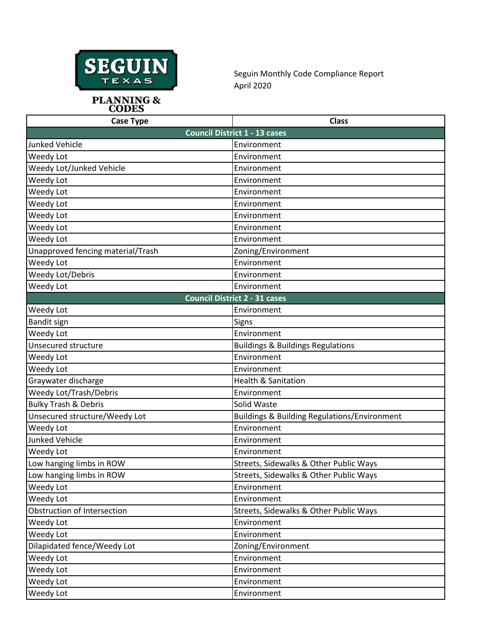

Seguin Monthly Code Compliance Report April 2020

**PLANNING &<br>CODES** 

| <b>Case Type</b>                     | <b>Class</b>                                            |  |
|--------------------------------------|---------------------------------------------------------|--|
|                                      | <b>Council District 1 - 13 cases</b>                    |  |
| <b>Junked Vehicle</b>                | Environment                                             |  |
| Weedy Lot                            | Environment                                             |  |
| Weedy Lot/Junked Vehicle             | Environment                                             |  |
| Weedy Lot                            | Environment                                             |  |
| Weedy Lot                            | Environment                                             |  |
| Weedy Lot                            | Environment                                             |  |
| Weedy Lot                            | Environment                                             |  |
| Weedy Lot                            | Environment                                             |  |
| Weedy Lot                            | Environment                                             |  |
| Unapproved fencing material/Trash    | Zoning/Environment                                      |  |
| Weedy Lot                            | Environment                                             |  |
| Weedy Lot/Debris                     | Environment                                             |  |
| Weedy Lot                            | Environment                                             |  |
| <b>Council District 2 - 31 cases</b> |                                                         |  |
| Weedy Lot                            | Environment                                             |  |
| <b>Bandit sign</b>                   | Signs                                                   |  |
| Weedy Lot                            | Environment                                             |  |
| <b>Unsecured structure</b>           | <b>Buildings &amp; Buildings Regulations</b>            |  |
| Weedy Lot                            | Environment                                             |  |
| Weedy Lot                            | Environment                                             |  |
| Graywater discharge                  | <b>Health &amp; Sanitation</b>                          |  |
| Weedy Lot/Trash/Debris               | Environment                                             |  |
| <b>Bulky Trash &amp; Debris</b>      | Solid Waste                                             |  |
| Unsecured structure/Weedy Lot        | <b>Buildings &amp; Building Regulations/Environment</b> |  |
| Weedy Lot                            | Environment                                             |  |
| <b>Junked Vehicle</b>                | Environment                                             |  |
| Weedy Lot                            | Environment                                             |  |
| Low hanging limbs in ROW             | Streets, Sidewalks & Other Public Ways                  |  |
| Low hanging limbs in ROW             | Streets, Sidewalks & Other Public Ways                  |  |
| Weedy Lot                            | Environment                                             |  |
| Weedy Lot                            | Environment                                             |  |
| Obstruction of Intersection          | Streets, Sidewalks & Other Public Ways                  |  |
| Weedy Lot                            | Environment                                             |  |
| Weedy Lot                            | Environment                                             |  |
| Dilapidated fence/Weedy Lot          | Zoning/Environment                                      |  |
| Weedy Lot                            | Environment                                             |  |
| Weedy Lot                            | Environment                                             |  |
| Weedy Lot                            | Environment                                             |  |
| Weedy Lot                            | Environment                                             |  |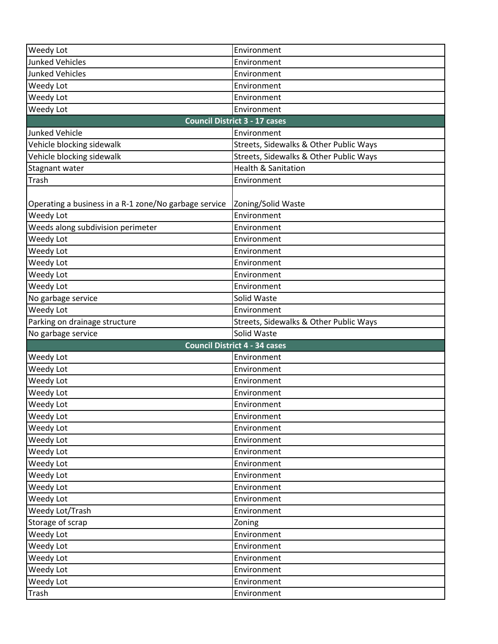| <b>Weedy Lot</b>                                      | Environment                            |
|-------------------------------------------------------|----------------------------------------|
| <b>Junked Vehicles</b>                                | Environment                            |
| <b>Junked Vehicles</b>                                | Environment                            |
| Weedy Lot                                             | Environment                            |
| Weedy Lot                                             | Environment                            |
| Weedy Lot                                             | Environment                            |
|                                                       | <b>Council District 3 - 17 cases</b>   |
| <b>Junked Vehicle</b>                                 | Environment                            |
| Vehicle blocking sidewalk                             | Streets, Sidewalks & Other Public Ways |
| Vehicle blocking sidewalk                             | Streets, Sidewalks & Other Public Ways |
| Stagnant water                                        | <b>Health &amp; Sanitation</b>         |
| Trash                                                 | Environment                            |
| Operating a business in a R-1 zone/No garbage service | Zoning/Solid Waste                     |
| Weedy Lot                                             | Environment                            |
| Weeds along subdivision perimeter                     | Environment                            |
| Weedy Lot                                             | Environment                            |
| Weedy Lot                                             | Environment                            |
| Weedy Lot                                             | Environment                            |
| Weedy Lot                                             | Environment                            |
| Weedy Lot                                             | Environment                            |
| No garbage service                                    | Solid Waste                            |
| Weedy Lot                                             | Environment                            |
| Parking on drainage structure                         | Streets, Sidewalks & Other Public Ways |
| No garbage service                                    | Solid Waste                            |
|                                                       | <b>Council District 4 - 34 cases</b>   |
| Weedy Lot                                             | Environment                            |
| Weedy Lot                                             | Environment                            |
| Weedy Lot                                             | Environment                            |
| Weedy Lot                                             | Environment                            |
| Weedy Lot                                             | Environment                            |
| Weedy Lot                                             | Environment                            |
| Weedy Lot                                             | Environment                            |
| Weedy Lot                                             | Environment                            |
| Weedy Lot                                             | Environment                            |
| Weedy Lot                                             | Environment                            |
| Weedy Lot                                             | Environment                            |
| Weedy Lot                                             | Environment                            |
| Weedy Lot                                             | Environment                            |
| Weedy Lot/Trash                                       | Environment                            |
| Storage of scrap                                      | Zoning                                 |
| Weedy Lot                                             | Environment                            |
| Weedy Lot                                             | Environment                            |
| Weedy Lot                                             | Environment                            |
| Weedy Lot                                             | Environment                            |
| Weedy Lot                                             | Environment                            |
| Trash                                                 | Environment                            |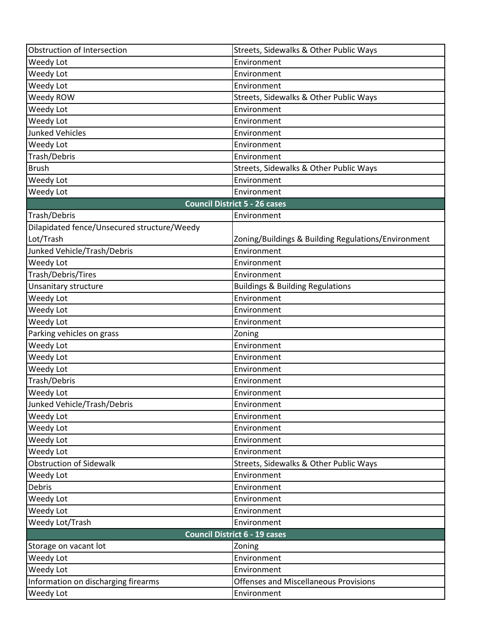| Obstruction of Intersection                 | Streets, Sidewalks & Other Public Ways              |  |
|---------------------------------------------|-----------------------------------------------------|--|
| Weedy Lot                                   | Environment                                         |  |
| Weedy Lot                                   | Environment                                         |  |
| Weedy Lot                                   | Environment                                         |  |
| Weedy ROW                                   | Streets, Sidewalks & Other Public Ways              |  |
| Weedy Lot                                   | Environment                                         |  |
| Weedy Lot                                   | Environment                                         |  |
| <b>Junked Vehicles</b>                      | Environment                                         |  |
| Weedy Lot                                   | Environment                                         |  |
| Trash/Debris                                | Environment                                         |  |
| <b>Brush</b>                                | Streets, Sidewalks & Other Public Ways              |  |
| Weedy Lot                                   | Environment                                         |  |
| Weedy Lot                                   | Environment                                         |  |
|                                             | <b>Council District 5 - 26 cases</b>                |  |
| Trash/Debris                                | Environment                                         |  |
| Dilapidated fence/Unsecured structure/Weedy |                                                     |  |
| Lot/Trash                                   | Zoning/Buildings & Building Regulations/Environment |  |
| Junked Vehicle/Trash/Debris                 | Environment                                         |  |
| Weedy Lot                                   | Environment                                         |  |
| Trash/Debris/Tires                          | Environment                                         |  |
| Unsanitary structure                        | <b>Buildings &amp; Building Regulations</b>         |  |
| Weedy Lot                                   | Environment                                         |  |
| Weedy Lot                                   | Environment                                         |  |
| Weedy Lot                                   | Environment                                         |  |
| Parking vehicles on grass<br>Weedy Lot      | Zoning<br>Environment                               |  |
| Weedy Lot                                   | Environment                                         |  |
| Weedy Lot                                   | Environment                                         |  |
| Trash/Debris                                | Environment                                         |  |
| Weedy Lot                                   | Environment                                         |  |
| Junked Vehicle/Trash/Debris                 | Environment                                         |  |
| Weedy Lot                                   | Environment                                         |  |
| Weedy Lot                                   | Environment                                         |  |
| Weedy Lot                                   | Environment                                         |  |
| Weedy Lot                                   | Environment                                         |  |
| <b>Obstruction of Sidewalk</b>              | Streets, Sidewalks & Other Public Ways              |  |
| Weedy Lot                                   | Environment                                         |  |
| Debris                                      | Environment                                         |  |
| Weedy Lot                                   | Environment                                         |  |
| Weedy Lot                                   | Environment                                         |  |
| Weedy Lot/Trash                             | Environment                                         |  |
| <b>Council District 6 - 19 cases</b>        |                                                     |  |
| Storage on vacant lot                       | Zoning                                              |  |
| Weedy Lot                                   | Environment                                         |  |
| Weedy Lot                                   | Environment                                         |  |
| Information on discharging firearms         | <b>Offenses and Miscellaneous Provisions</b>        |  |
| Weedy Lot                                   | Environment                                         |  |